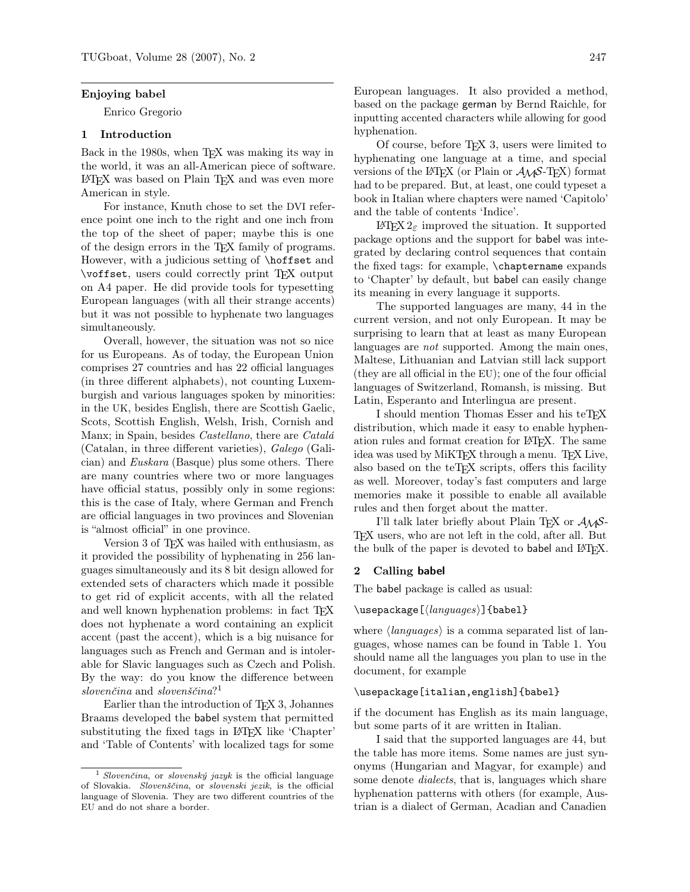#### Enjoying babel

Enrico Gregorio

### 1 Introduction

Back in the 1980s, when T<sub>E</sub>X was making its way in the world, it was an all-American piece of software. LATEX was based on Plain TEX and was even more American in style.

For instance, Knuth chose to set the DVI reference point one inch to the right and one inch from the top of the sheet of paper; maybe this is one of the design errors in the TEX family of programs. However, with a judicious setting of \hoffset and \voffset, users could correctly print TEX output on A4 paper. He did provide tools for typesetting European languages (with all their strange accents) but it was not possible to hyphenate two languages simultaneously.

Overall, however, the situation was not so nice for us Europeans. As of today, the European Union comprises 27 countries and has 22 official languages (in three different alphabets), not counting Luxemburgish and various languages spoken by minorities: in the UK, besides English, there are Scottish Gaelic, Scots, Scottish English, Welsh, Irish, Cornish and Manx; in Spain, besides Castellano, there are Catalá (Catalan, in three different varieties), Galego (Galician) and Euskara (Basque) plus some others. There are many countries where two or more languages have official status, possibly only in some regions: this is the case of Italy, where German and French are official languages in two provinces and Slovenian is "almost official" in one province.

Version 3 of TEX was hailed with enthusiasm, as it provided the possibility of hyphenating in 256 languages simultaneously and its 8 bit design allowed for extended sets of characters which made it possible to get rid of explicit accents, with all the related and well known hyphenation problems: in fact TFX does not hyphenate a word containing an explicit accent (past the accent), which is a big nuisance for languages such as French and German and is intolerable for Slavic languages such as Czech and Polish. By the way: do you know the difference between slovenčina and slovenščina?<sup>1</sup>

Earlier than the introduction of T<sub>EX</sub> 3, Johannes Braams developed the babel system that permitted substituting the fixed tags in LATEX like 'Chapter' and 'Table of Contents' with localized tags for some European languages. It also provided a method, based on the package german by Bernd Raichle, for inputting accented characters while allowing for good hyphenation.

Of course, before TEX 3, users were limited to hyphenating one language at a time, and special versions of the LAT<sub>EX</sub> (or Plain or  $\mathcal{A}_{\mathcal{M}}\mathcal{S}\text{-TFX}$ ) format had to be prepared. But, at least, one could typeset a book in Italian where chapters were named 'Capitolo' and the table of contents 'Indice'.

LATEX 2ε improved the situation. It supported package options and the support for babel was integrated by declaring control sequences that contain the fixed tags: for example, \chaptername expands to 'Chapter' by default, but babel can easily change its meaning in every language it supports.

The supported languages are many, 44 in the current version, and not only European. It may be surprising to learn that at least as many European languages are *not* supported. Among the main ones, Maltese, Lithuanian and Latvian still lack support (they are all official in the EU); one of the four official languages of Switzerland, Romansh, is missing. But Latin, Esperanto and Interlingua are present.

I should mention Thomas Esser and his teTEX distribution, which made it easy to enable hyphenation rules and format creation for LATEX. The same idea was used by MiKTEX through a menu. TEX Live, also based on the teT<sub>EX</sub> scripts, offers this facility as well. Moreover, today's fast computers and large memories make it possible to enable all available rules and then forget about the matter.

I'll talk later briefly about Plain T<sub>E</sub>X or  $A_{\mathcal{M}}S$ -TEX users, who are not left in the cold, after all. But the bulk of the paper is devoted to babel and L<sup>AT</sup>FX.

### 2 Calling babel

The babel package is called as usual:

 $\{\text{Large}(language)\}$ [babel]

where  $\langle \text{languages} \rangle$  is a comma separated list of languages, whose names can be found in Table 1. You should name all the languages you plan to use in the document, for example

#### \usepackage[italian,english]{babel}

if the document has English as its main language, but some parts of it are written in Italian.

I said that the supported languages are 44, but the table has more items. Some names are just synonyms (Hungarian and Magyar, for example) and some denote *dialects*, that is, languages which share hyphenation patterns with others (for example, Austrian is a dialect of German, Acadian and Canadien

 $1$  Slovenčina, or slovenský jazyk is the official language of Slovakia. Slovenščina, or slovenski jezik, is the official language of Slovenia. They are two different countries of the EU and do not share a border.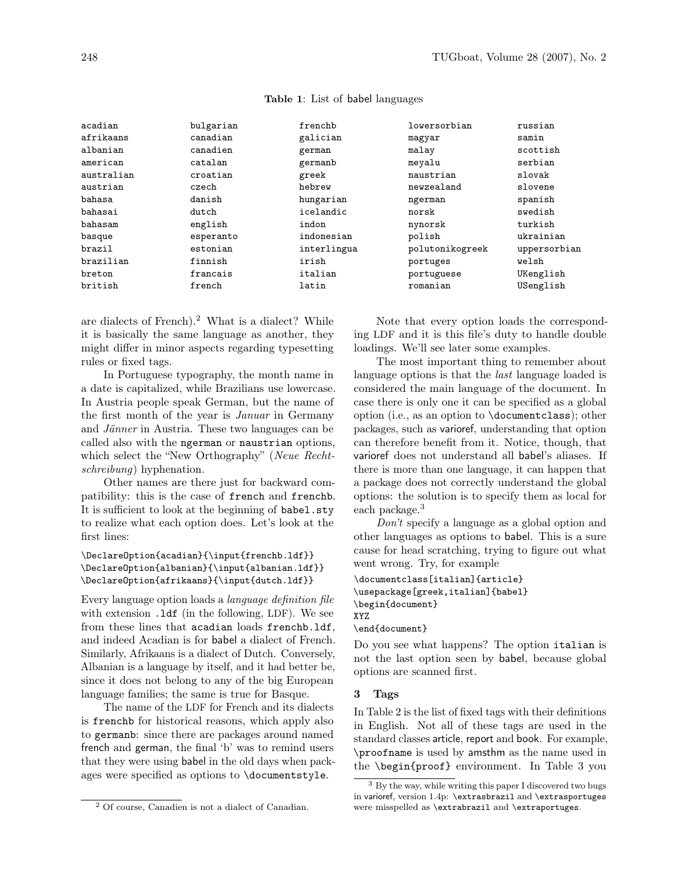| acadian    | bulgarian | frenchb     | lowersorbian    | russian      |
|------------|-----------|-------------|-----------------|--------------|
| afrikaans  | canadian  | galician    | magyar          | samin        |
| albanian   | canadien  | german      | malay           | scottish     |
| american   | catalan   | germanb     | meyalu          | serbian      |
| australian | croatian  | greek       | naustrian       | slovak       |
| austrian   | czech     | hebrew      | newzealand      | slovene      |
| bahasa     | danish    | hungarian   | ngerman         | spanish      |
| bahasai    | $d$ ut.ch | icelandic   | norsk           | swedish      |
| bahasam    | english   | indon       | nynorsk         | turkish      |
| basque     | esperanto | indonesian  | polish          | ukrainian    |
| brazil     | estonian  | interlingua | polutonikogreek | uppersorbian |
| brazilian  | finnish   | irish       | portuges        | welsh        |
| breton     | francais  | italian     | portuguese      | UKenglish    |
| british    | french    | latin       | romanian        | USenglish    |
|            |           |             |                 |              |

#### Table 1: List of babel languages

are dialects of French).<sup>2</sup> What is a dialect? While it is basically the same language as another, they might differ in minor aspects regarding typesetting rules or fixed tags.

In Portuguese typography, the month name in a date is capitalized, while Brazilians use lowercase. In Austria people speak German, but the name of the first month of the year is Januar in Germany and Jänner in Austria. These two languages can be called also with the ngerman or naustrian options, which select the "New Orthography" (Neue Rechtschreibung) hyphenation.

Other names are there just for backward compatibility: this is the case of french and frenchb. It is sufficient to look at the beginning of babel.sty to realize what each option does. Let's look at the first lines:

```
\DeclareOption{acadian}{\input{frenchb.ldf}}
\DeclareOption{albanian}{\input{albanian.ldf}}
\DeclareOption{afrikaans}{\input{dutch.ldf}}
```
Every language option loads a language definition file with extension .1df (in the following, LDF). We see from these lines that acadian loads frenchb.ldf, and indeed Acadian is for babel a dialect of French. Similarly, Afrikaans is a dialect of Dutch. Conversely, Albanian is a language by itself, and it had better be, since it does not belong to any of the big European language families; the same is true for Basque.

The name of the LDF for French and its dialects is frenchb for historical reasons, which apply also to germanb: since there are packages around named french and german, the final 'b' was to remind users that they were using babel in the old days when packages were specified as options to \documentstyle.

Note that every option loads the corresponding LDF and it is this file's duty to handle double loadings. We'll see later some examples.

The most important thing to remember about language options is that the *last* language loaded is considered the main language of the document. In case there is only one it can be specified as a global option (i.e., as an option to \documentclass); other packages, such as varioref, understanding that option can therefore benefit from it. Notice, though, that varioref does not understand all babel's aliases. If there is more than one language, it can happen that a package does not correctly understand the global options: the solution is to specify them as local for each package.<sup>3</sup>

Don't specify a language as a global option and other languages as options to babel. This is a sure cause for head scratching, trying to figure out what went wrong. Try, for example

```
\documentclass[italian]{article}
\usepackage[greek,italian]{babel}
\begin{document}
XYZ
```
\end{document}

Do you see what happens? The option italian is not the last option seen by babel, because global options are scanned first.

#### 3 Tags

In Table 2 is the list of fixed tags with their definitions in English. Not all of these tags are used in the standard classes article, report and book. For example, \proofname is used by amsthm as the name used in the \begin{proof} environment. In Table 3 you

<sup>2</sup> Of course, Canadien is not a dialect of Canadian.

<sup>3</sup> By the way, while writing this paper I discovered two bugs in varioref, version 1.4p: \extrasbrazil and \extrasportuges were misspelled as \extrabrazil and \extraportuges.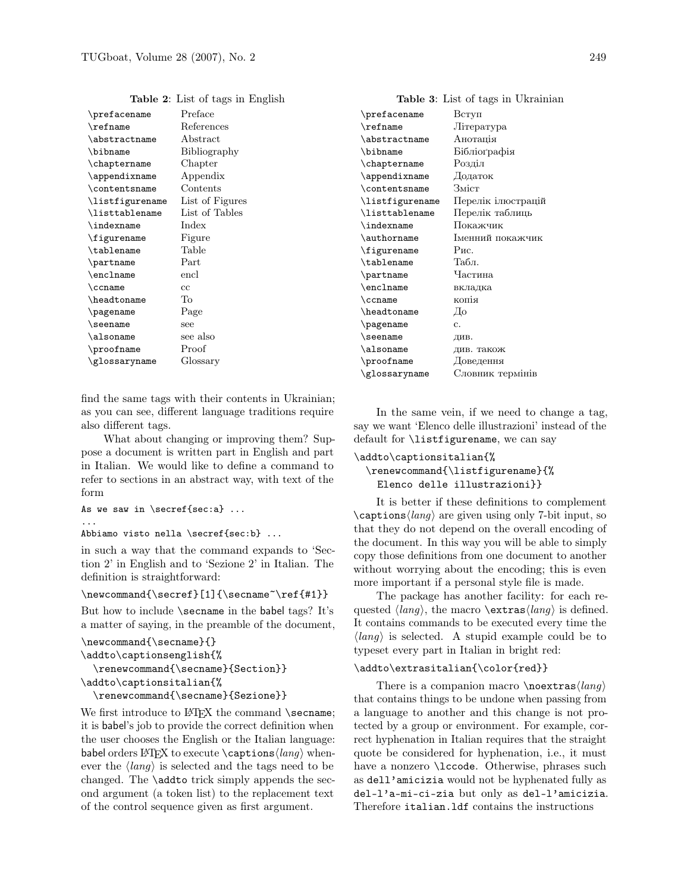| \prefacename    | Preface         | /I  |
|-----------------|-----------------|-----|
| $\refname$      | References      | د\  |
| \abstractname   | Abstract        | \;  |
| \bibname        | Bibliography    | ١ł  |
| \chaptername    | Chapter         | \‹  |
| \appendixname   | Appendix        | ج\  |
| \contentsname   | Contents        | \‹  |
| \listfigurename | List of Figures | \]  |
| \listtablename  | List of Tables  | \]  |
| \indexname      | Index           | Ì\  |
| \figurename     | Figure          | ج\  |
| \tablename      | Table           | £/  |
| \partname       | Part            | \t  |
| \enclname       | encl            | /I  |
| $\c{c}$         | cc              | € ∖ |
| \headtoname     | To              | \‹  |
| \pagename       | Page            | \ł  |
| \seename        | see             | /I  |
| \alsoname       | see also        | ء\  |
| \proofname      | Proof           | ج\  |
| \glossaryname   | Glossary        | \1  |

Table 2: List of tags in English

find the same tags with their contents in Ukrainian; as you can see, different language traditions require also different tags.

What about changing or improving them? Suppose a document is written part in English and part in Italian. We would like to define a command to refer to sections in an abstract way, with text of the form

```
As we saw in \secref{sec:a} ...
...
```
Abbiamo visto nella \secref{sec:b} ...

in such a way that the command expands to 'Section 2' in English and to 'Sezione 2' in Italian. The definition is straightforward:

#### \newcommand{\secref}[1]{\secname~\ref{#1}}

But how to include \secname in the babel tags? It's a matter of saying, in the preamble of the document,

```
\newcommand{\secname}{}
\addto\captionsenglish{%
  \renewcommand{\secname}{Section}}
\addto\captionsitalian{%
```
\renewcommand{\secname}{Sezione}}

We first introduce to L<sup>AT</sup>FX the command **\secname**; it is babel's job to provide the correct definition when the user chooses the English or the Italian language: babel orders LATEX to execute \captionshlangi whenever the  $\langle \text{lang} \rangle$  is selected and the tags need to be changed. The \addto trick simply appends the second argument (a token list) to the replacement text of the control sequence given as first argument.

|  |  |  |  | Table 3: List of tags in Ukrainian |
|--|--|--|--|------------------------------------|
|--|--|--|--|------------------------------------|

| \prefacename        | Вступ              |
|---------------------|--------------------|
| $\refname$          | Література         |
| \abstractname       | Анотація           |
| \bibname            | Бібліографія       |
| \chaptername        | Розділ             |
| \appendixname       | Додаток            |
| \contentsname       | Зміст              |
| \listfigurename     | Перелік ілюстрацій |
| \listtablename      | Перелік таблиць    |
| \indexname          | Покажчик           |
| \authorname         | Іменний покажчик   |
| \figurename         | Рис.               |
| \tablename          | Табл.              |
| \partname           | Частина            |
| \enclname           | вкладка            |
| $\c{c}$ cname       | копія              |
| \headtoname         | До                 |
| \pagename           | $\mathbf{c}$ .     |
| $\setminus$ seename | див.               |
| \alsoname           | див. також         |
| \proofname          | Доведення          |
| \glossaryname       | Словник термінів   |

In the same vein, if we need to change a tag, say we want 'Elenco delle illustrazioni' instead of the default for \listfigurename, we can say

## \addto\captionsitalian{% \renewcommand{\listfigurename}{% Elenco delle illustrazioni}}

It is better if these definitions to complement  $\c$ aptions $\langle lang \rangle$  are given using only 7-bit input, so that they do not depend on the overall encoding of the document. In this way you will be able to simply copy those definitions from one document to another without worrying about the encoding; this is even more important if a personal style file is made.

The package has another facility: for each requested  $\langle \text{lang} \rangle$ , the macro  $\text{္} \langle \text{lang} \rangle$  is defined. It contains commands to be executed every time the  $\langle lang \rangle$  is selected. A stupid example could be to typeset every part in Italian in bright red:

### \addto\extrasitalian{\color{red}}

There is a companion macro  $\n\frac{\langle lang \rangle}{\langle$ that contains things to be undone when passing from a language to another and this change is not protected by a group or environment. For example, correct hyphenation in Italian requires that the straight quote be considered for hyphenation, i.e., it must have a nonzero **\lccode**. Otherwise, phrases such as dell'amicizia would not be hyphenated fully as del-l'a-mi-ci-zia but only as del-l'amicizia. Therefore italian.ldf contains the instructions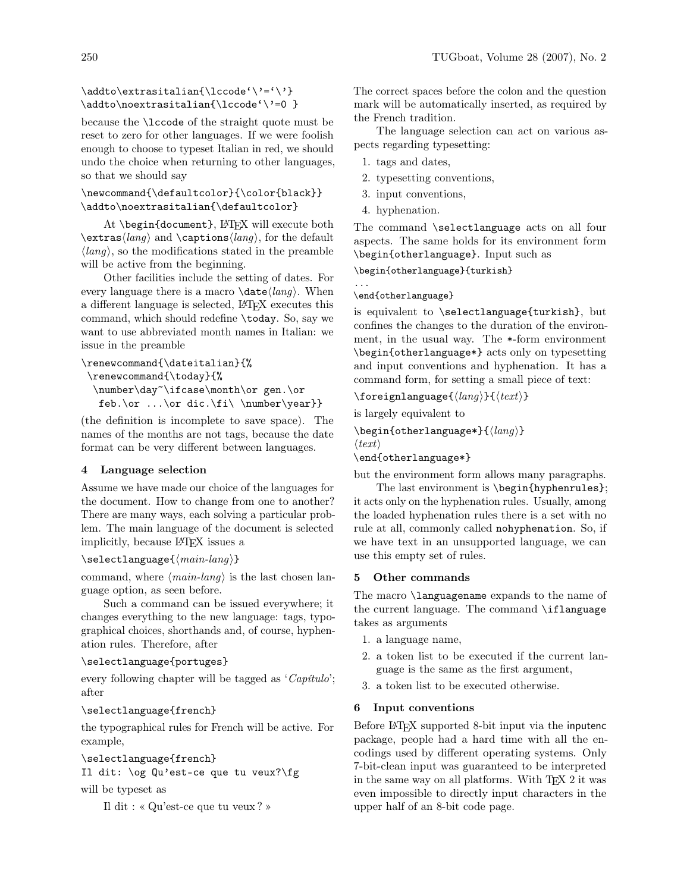## $\addto\extrm{initialian}\lccode'\prime=\l\prime\}$ \addto\noextrasitalian{\lccode'\'=0 }

because the \lccode of the straight quote must be reset to zero for other languages. If we were foolish enough to choose to typeset Italian in red, we should undo the choice when returning to other languages, so that we should say

## $\newcommand{\def}{\def}{\cdots}$ \addto\noextrasitalian{\defaultcolor}

At \begin{document}, LATFX will execute both  $\text{class}(lang)$  and  $\text{long}(lang)$ , for the default  $\langle \text{lang} \rangle$ , so the modifications stated in the preamble will be active from the beginning.

Other facilities include the setting of dates. For every language there is a macro  $\data\langle lang \rangle$ . When a different language is selected, LATEX executes this command, which should redefine \today. So, say we want to use abbreviated month names in Italian: we issue in the preamble

```
\renewcommand{\dateitalian}{%
\renewcommand{\today}{%
 \number\day~\ifcase\month\or gen.\or
```
feb.\or ...\or dic.\fi\ \number\year}}

(the definition is incomplete to save space). The names of the months are not tags, because the date format can be very different between languages.

# 4 Language selection

Assume we have made our choice of the languages for the document. How to change from one to another? There are many ways, each solving a particular problem. The main language of the document is selected implicitly, because LATEX issues a

# $\setminus$ selectlanguage $\{ \langle main\ -land \rangle \}$

command, where  $\langle main\text{-}lang \rangle$  is the last chosen language option, as seen before.

Such a command can be issued everywhere; it changes everything to the new language: tags, typographical choices, shorthands and, of course, hyphenation rules. Therefore, after

# \selectlanguage{portuges}

every following chapter will be tagged as 'Capítulo'; after

# \selectlanguage{french}

the typographical rules for French will be active. For example,

```
\selectlanguage{french}
```
Il dit: \og Qu'est-ce que tu veux?\fg

will be typeset as

```
Il dit : « Qu'est-ce que tu veux ? »
```
The correct spaces before the colon and the question mark will be automatically inserted, as required by the French tradition.

The language selection can act on various aspects regarding typesetting:

- 1. tags and dates,
- 2. typesetting conventions,
- 3. input conventions,
- 4. hyphenation.

The command \selectlanguage acts on all four aspects. The same holds for its environment form \begin{otherlanguage}. Input such as

\begin{otherlanguage}{turkish}

... \end{otherlanguage}

is equivalent to \selectlanguage{turkish}, but confines the changes to the duration of the environment, in the usual way. The \*-form environment \begin{otherlanguage\*} acts only on typesetting and input conventions and hyphenation. It has a command form, for setting a small piece of text:

 $\setminus$ foreignlanguage $\{\langle lang \rangle\}$  $\{\langle text \rangle\}$ 

is largely equivalent to

 $\begin{align} \begin{bmatrix} \text{otherwise} \end{bmatrix} \end{align}$ 

```
\langle \text{text}\rangle
```
\end{otherlanguage\*}

but the environment form allows many paragraphs.

The last environment is \begin{hyphenrules}; it acts only on the hyphenation rules. Usually, among the loaded hyphenation rules there is a set with no rule at all, commonly called nohyphenation. So, if we have text in an unsupported language, we can use this empty set of rules.

# 5 Other commands

The macro \languagename expands to the name of the current language. The command \iflanguage takes as arguments

- 1. a language name,
- 2. a token list to be executed if the current language is the same as the first argument,
- 3. a token list to be executed otherwise.

# 6 Input conventions

Before LATEX supported 8-bit input via the inputenc package, people had a hard time with all the encodings used by different operating systems. Only 7-bit-clean input was guaranteed to be interpreted in the same way on all platforms. With TEX 2 it was even impossible to directly input characters in the upper half of an 8-bit code page.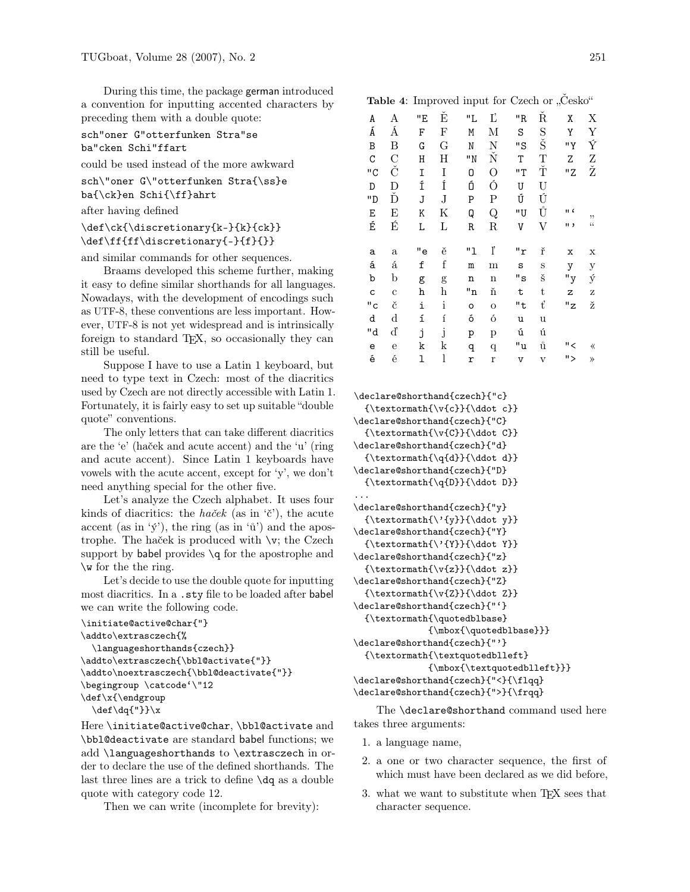During this time, the package german introduced a convention for inputting accented characters by preceding them with a double quote:

```
sch"oner G"otterfunken Stra"se
ba"cken Schi"ffart
```
could be used instead of the more awkward

```
sch\"oner G\"otterfunken Stra{\ss}e
```
ba{\ck}en Schi{\ff}ahrt

```
after having defined
```

```
\def\ck{\discretionary{k-}{k}{ck}}
\def\ff{ff\discretionary{-}{f}{}}
```
and similar commands for other sequences.

Braams developed this scheme further, making it easy to define similar shorthands for all languages. Nowadays, with the development of encodings such as UTF-8, these conventions are less important. However, UTF-8 is not yet widespread and is intrinsically foreign to standard T<sub>E</sub>X, so occasionally they can still be useful.

Suppose I have to use a Latin 1 keyboard, but need to type text in Czech: most of the diacritics used by Czech are not directly accessible with Latin 1. Fortunately, it is fairly easy to set up suitable "double quote" conventions.

The only letters that can take different diacritics are the 'e' (haček and acute accent) and the 'u' (ring and acute accent). Since Latin 1 keyboards have vowels with the acute accent, except for 'y', we don't need anything special for the other five.

Let's analyze the Czech alphabet. It uses four kinds of diacritics: the haček (as in  $\check{\epsilon}$ ), the acute accent (as in 'ý'), the ring (as in 'ů') and the apostrophe. The haček is produced with \v; the Czech support by babel provides  $\qquad$  of the apostrophe and \w for the the ring.

Let's decide to use the double quote for inputting most diacritics. In a .sty file to be loaded after babel we can write the following code.

```
\initiate@active@char{"}
\addto\extrasczech{%
  \languageshorthands{czech}}
\addto\extrasczech{\bbl@activate{"}}
\addto\noextrasczech{\bbl@deactivate{"}}
\begingroup \catcode'\"12
\def\x{\endgroup
  \def\dq{"}}\x
```
Here \initiate@active@char, \bbl@activate and \bbl@deactivate are standard babel functions; we add \languageshorthands to \extrasczech in order to declare the use of the defined shorthands. The last three lines are a trick to define \dq as a double quote with category code 12.

Then we can write (incomplete for brevity):

| X                      |
|------------------------|
| Y                      |
| Ý                      |
| $\frac{Z}{Z}$          |
|                        |
|                        |
|                        |
|                        |
|                        |
| ,,<br>$\zeta \, \zeta$ |
|                        |
| х                      |
| $\mathbf y$            |
| ý<br>Z                 |
| ž                      |
|                        |
|                        |
| «                      |
|                        |

```
\declare@shorthand{czech}{"c}
  {\textbf{\v{c}}{\ddot{c}}\}\declare@shorthand{czech}{"C}
  {\text{\v{C}}}{\ddot{C}}\declare@shorthand{czech}{"d}
  {\textbf{\q{}d}}({\text{ddot d}})\declare@shorthand{czech}{"D}
  {\textbf{\q{D}}}{\ddot{o}}...
\declare@shorthand{czech}{"y}
  {\textormath{\'{y}}{\ddot y}}
\declare@shorthand{czech}{"Y}
  {\texttt{\{\}}{ \ddot{x} }\declare@shorthand{czech}{"z}
  {\textbf{\v{z}}{\ddot{z}}\declare@shorthand{czech}{"Z}
  {\text{}\v{Z}}{\ddot{Z}}\declare@shorthand{czech}{"'}
  {\textormath{\quotedblbase}
             {\mbox{\quotedblbase}}}
\declare@shorthand{czech}{"'}
  {\textormath{\textquotedblleft}
             {\mbox{\textquotedblleft}}}
\declare@shorthand{czech}{"<}{\flqq}
\declare@shorthand{czech}{">}{\frqq}
```
The \declare@shorthand command used here takes three arguments:

- 1. a language name,
- 2. a one or two character sequence, the first of which must have been declared as we did before,
- 3. what we want to substitute when TEX sees that character sequence.

Table 4: Improved input for Czech or "Cesko"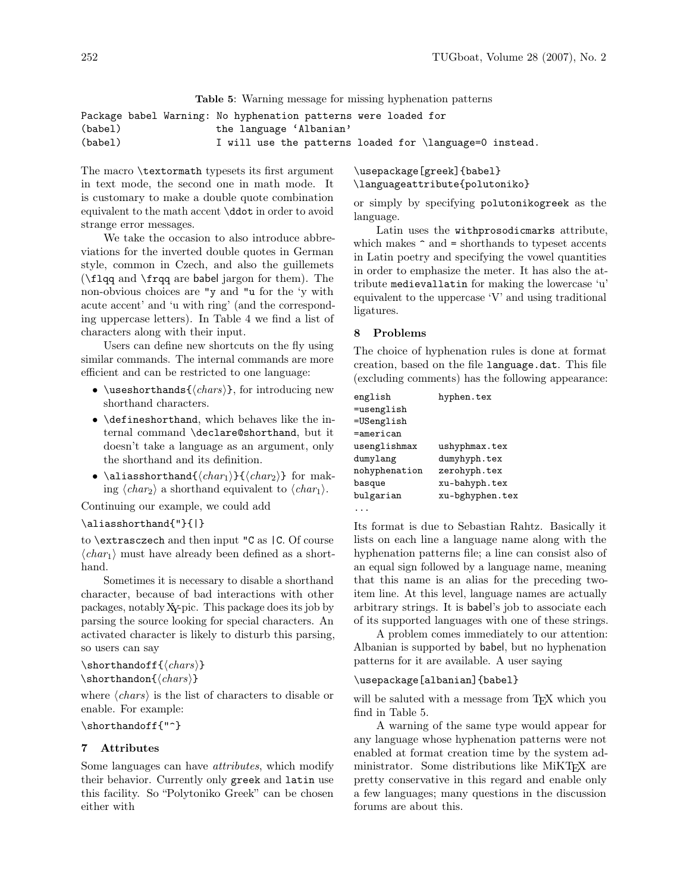Table 5: Warning message for missing hyphenation patterns

```
Package babel Warning: No hyphenation patterns were loaded for
(babel) the language 'Albanian'
(babel) I will use the patterns loaded for \language=0 instead.
```
The macro \textormath typesets its first argument in text mode, the second one in math mode. It is customary to make a double quote combination equivalent to the math accent \ddot in order to avoid strange error messages.

We take the occasion to also introduce abbreviations for the inverted double quotes in German style, common in Czech, and also the guillemets (\flqq and \frqq are babel jargon for them). The non-obvious choices are "y and "u for the 'y with acute accent' and 'u with ring' (and the corresponding uppercase letters). In Table 4 we find a list of characters along with their input.

Users can define new shortcuts on the fly using similar commands. The internal commands are more efficient and can be restricted to one language:

- \useshorthands $\{\langle chars \rangle\}$ , for introducing new shorthand characters.
- \defineshorthand, which behaves like the internal command \declare@shorthand, but it doesn't take a language as an argument, only the shorthand and its definition.
- \aliasshorthand $\{\langle char_1\rangle\}\{\langle char_2\rangle\}$  for making  $\langle char_2 \rangle$  a shorthand equivalent to  $\langle char_1 \rangle$ .

Continuing our example, we could add

\aliasshorthand{"}{|}

to \extrasczech and then input "C as |C. Of course  $\langle char_1 \rangle$  must have already been defined as a shorthand.

Sometimes it is necessary to disable a shorthand character, because of bad interactions with other packages, notablyXY-pic. This package does its job by parsing the source looking for special characters. An activated character is likely to disturb this parsing, so users can say

```
\verb|\shorthandoff{<|<i>chars</i>|\}\verb|\shorthandon{<|<i>chars</i>>}
```
where  $\langle \text{chars} \rangle$  is the list of characters to disable or enable. For example:

\shorthandoff{"^}

### 7 Attributes

Some languages can have attributes, which modify their behavior. Currently only greek and latin use this facility. So "Polytoniko Greek" can be chosen either with

\usepackage[greek]{babel} \languageattribute{polutoniko}

or simply by specifying polutonikogreek as the language.

Latin uses the withprosodicmarks attribute, which makes  $\hat{\ }$  and = shorthands to typeset accents in Latin poetry and specifying the vowel quantities in order to emphasize the meter. It has also the attribute medievallatin for making the lowercase 'u' equivalent to the uppercase 'V' and using traditional ligatures.

#### 8 Problems

The choice of hyphenation rules is done at format creation, based on the file language.dat. This file (excluding comments) has the following appearance:

| english       | hyphen.tex      |
|---------------|-----------------|
| =usenglish    |                 |
| =USenglish    |                 |
| $=$ american  |                 |
| usenglishmax  | ushyphmax.tex   |
| dumylang      | dumyhyph.tex    |
| nohyphenation | zerohyph.tex    |
| basque        | xu-bahyph.tex   |
| bulgarian     | xu-bghyphen.tex |
|               |                 |

...

Its format is due to Sebastian Rahtz. Basically it lists on each line a language name along with the hyphenation patterns file; a line can consist also of an equal sign followed by a language name, meaning that this name is an alias for the preceding twoitem line. At this level, language names are actually arbitrary strings. It is babel's job to associate each of its supported languages with one of these strings.

A problem comes immediately to our attention: Albanian is supported by babel, but no hyphenation patterns for it are available. A user saying

#### \usepackage[albanian]{babel}

will be saluted with a message from T<sub>E</sub>X which you find in Table 5.

A warning of the same type would appear for any language whose hyphenation patterns were not enabled at format creation time by the system administrator. Some distributions like MiKT<sub>EX</sub> are pretty conservative in this regard and enable only a few languages; many questions in the discussion forums are about this.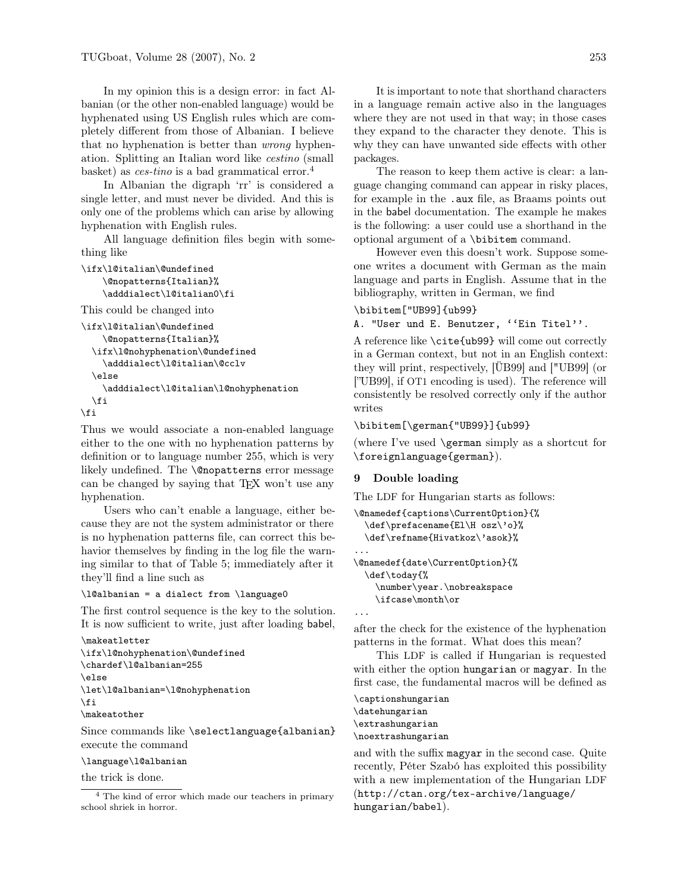In my opinion this is a design error: in fact Albanian (or the other non-enabled language) would be hyphenated using US English rules which are completely different from those of Albanian. I believe that no hyphenation is better than wrong hyphenation. Splitting an Italian word like cestino (small basket) as *ces-tino* is a bad grammatical error.<sup>4</sup>

In Albanian the digraph 'rr' is considered a single letter, and must never be divided. And this is only one of the problems which can arise by allowing hyphenation with English rules.

All language definition files begin with something like

```
\ifx\l@italian\@undefined
   \@nopatterns{Italian}%
    \adddialect\l@italian0\fi
```
This could be changed into

```
\ifx\l@italian\@undefined
    \@nopatterns{Italian}%
  \ifx\l@nohyphenation\@undefined
    \adddialect\l@italian\@cclv
  \else
    \adddialect\l@italian\l@nohyphenation
  \fi
```
\fi

Thus we would associate a non-enabled language either to the one with no hyphenation patterns by definition or to language number 255, which is very likely undefined. The **\@nopatterns** error message can be changed by saying that TEX won't use any hyphenation.

Users who can't enable a language, either because they are not the system administrator or there is no hyphenation patterns file, can correct this behavior themselves by finding in the log file the warning similar to that of Table 5; immediately after it they'll find a line such as

\l@albanian = a dialect from \language0

The first control sequence is the key to the solution. It is now sufficient to write, just after loading babel,

```
\makeatletter
\ifx\l@nohyphenation\@undefined
\chardef\l@albanian=255
\else
\let\l@albanian=\l@nohyphenation
\fi
\makeatother
```
Since commands like \selectlanguage{albanian} execute the command

### \language\l@albanian

the trick is done.

It is important to note that shorthand characters in a language remain active also in the languages where they are not used in that way; in those cases they expand to the character they denote. This is why they can have unwanted side effects with other packages.

The reason to keep them active is clear: a language changing command can appear in risky places, for example in the .aux file, as Braams points out in the babel documentation. The example he makes is the following: a user could use a shorthand in the optional argument of a \bibitem command.

However even this doesn't work. Suppose someone writes a document with German as the main language and parts in English. Assume that in the bibliography, written in German, we find

## \bibitem["UB99]{ub99}

A. "User und E. Benutzer, ''Ein Titel''.

A reference like \cite{ub99} will come out correctly in a German context, but not in an English context: they will print, respectively, [ÜB99] and ["UB99] (or ["UB99], if OT1 encoding is used). The reference will consistently be resolved correctly only if the author writes

\bibitem[\german{"UB99}]{ub99}

(where I've used \german simply as a shortcut for \foreignlanguage{german}).

### 9 Double loading

The LDF for Hungarian starts as follows:

```
\@namedef{captions\CurrentOption}{%
  \def\prefacename{El\H osz\'o}%
  \def\refname{Hivatkoz\'asok}%
...
\@namedef{date\CurrentOption}{%
  \def\today{%
   \number\year.\nobreakspace
```
\ifcase\month\or

```
...
```
after the check for the existence of the hyphenation patterns in the format. What does this mean?

This LDF is called if Hungarian is requested with either the option hungarian or magyar. In the first case, the fundamental macros will be defined as

\captionshungarian \datehungarian \extrashungarian \noextrashungarian

and with the suffix magyar in the second case. Quite recently, Péter Szabó has exploited this possibility with a new implementation of the Hungarian LDF (http://ctan.org/tex-archive/language/ hungarian/babel).

<sup>&</sup>lt;sup>4</sup> The kind of error which made our teachers in primary school shriek in horror.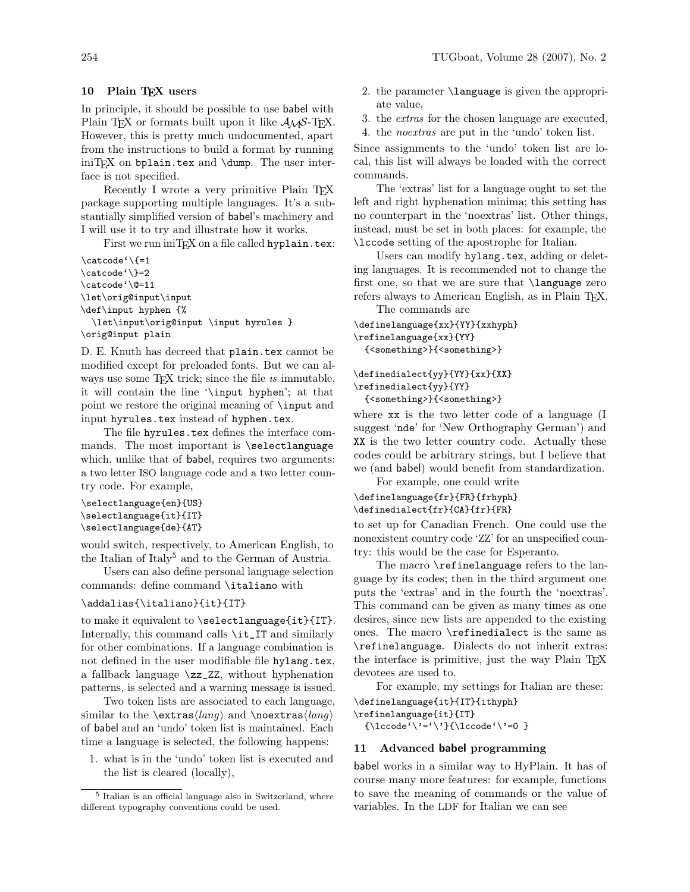### 10 Plain TFX users

In principle, it should be possible to use babel with Plain TEX or formats built upon it like  $A_{\mathcal{M}}S$ -TEX. However, this is pretty much undocumented, apart from the instructions to build a format by running  $ini$ T<sub>F</sub>X on bplain.tex and \dump. The user interface is not specified.

Recently I wrote a very primitive Plain T<sub>EX</sub> package supporting multiple languages. It's a substantially simplified version of babel's machinery and I will use it to try and illustrate how it works.

First we run iniT<sub>F</sub>X on a file called hyplain.tex:

 $\c{actcode'}$  \{=1 \catcode'\}=2 \catcode'\@=11 \let\orig@input\input \def\input hyphen {% \let\input\orig@input \input hyrules } \orig@input plain

D. E. Knuth has decreed that plain.tex cannot be modified except for preloaded fonts. But we can always use some  $T_{\text{F}}X$  trick; since the file is immutable, it will contain the line '\input hyphen'; at that point we restore the original meaning of \input and input hyrules.tex instead of hyphen.tex.

The file hyrules.tex defines the interface commands. The most important is \selectlanguage which, unlike that of babel, requires two arguments: a two letter ISO language code and a two letter country code. For example,

```
\selectlanguage{en}{US}
\selectlanguage{it}{IT}
\selectlanguage{de}{AT}
```
would switch, respectively, to American English, to the Italian of Italy<sup>5</sup> and to the German of Austria.

Users can also define personal language selection commands: define command \italiano with

#### \addalias{\italiano}{it}{IT}

to make it equivalent to \selectlanguage{it}{IT}. Internally, this command calls \it\_IT and similarly for other combinations. If a language combination is not defined in the user modifiable file hylang.tex, a fallback language \zz\_ZZ, without hyphenation patterns, is selected and a warning message is issued.

Two token lists are associated to each language, similar to the  $\text{xlang}$  and  $\text{noextras}(lang)$ of babel and an 'undo' token list is maintained. Each time a language is selected, the following happens:

1. what is in the 'undo' token list is executed and the list is cleared (locally),

- 2. the parameter \language is given the appropriate value,
- 3. the extras for the chosen language are executed,
- 4. the noextras are put in the 'undo' token list.

Since assignments to the 'undo' token list are local, this list will always be loaded with the correct commands.

The 'extras' list for a language ought to set the left and right hyphenation minima; this setting has no counterpart in the 'noextras' list. Other things, instead, must be set in both places: for example, the \lccode setting of the apostrophe for Italian.

Users can modify hylang.tex, adding or deleting languages. It is recommended not to change the first one, so that we are sure that \language zero refers always to American English, as in Plain TFX.

The commands are

```
\definelanguage{xx}{YY}{xxhyph}
\refinelanguage{xx}{YY}
  {<something>}{<something>}
```
### \definedialect{yy}{YY}{xx}{XX} \refinedialect{yy}{YY} {<something>}{<something>}

where xx is the two letter code of a language (I suggest 'nde' for 'New Orthography German') and XX is the two letter country code. Actually these codes could be arbitrary strings, but I believe that we (and babel) would benefit from standardization.

For example, one could write \definelanguage{fr}{FR}{frhyph} \definedialect{fr}{CA}{fr}{FR}

to set up for Canadian French. One could use the nonexistent country code 'ZZ' for an unspecified country: this would be the case for Esperanto.

The macro \refinelanguage refers to the language by its codes; then in the third argument one puts the 'extras' and in the fourth the 'noextras'. This command can be given as many times as one desires, since new lists are appended to the existing ones. The macro \refinedialect is the same as \refinelanguage. Dialects do not inherit extras: the interface is primitive, just the way Plain T<sub>EX</sub> devotees are used to.

For example, my settings for Italian are these: \definelanguage{it}{IT}{ithyph}

\refinelanguage{it}{IT}

 ${\lhdccode'} \}'={\lhdccode'} \}'$ 

### 11 Advanced babel programming

babel works in a similar way to HyPlain. It has of course many more features: for example, functions to save the meaning of commands or the value of variables. In the LDF for Italian we can see

<sup>5</sup> Italian is an official language also in Switzerland, where different typography conventions could be used.